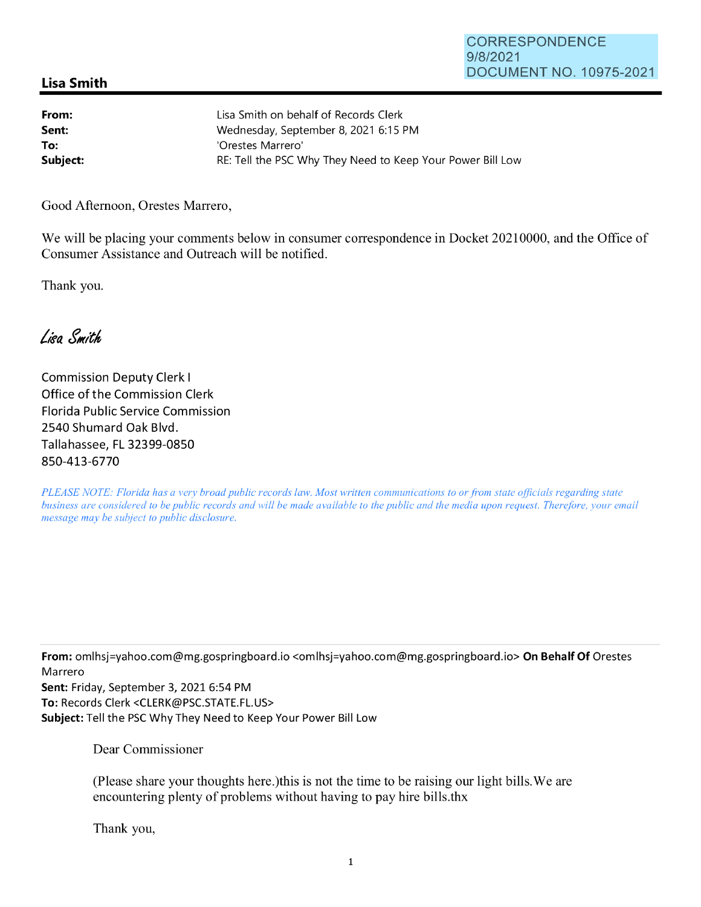## **Lisa Smith**

| From:    | Lisa Smith on behalf of Records Clerk                      |
|----------|------------------------------------------------------------|
| Sent:    | Wednesday, September 8, 2021 6:15 PM                       |
| To:      | 'Orestes Marrero'                                          |
| Subject: | RE: Tell the PSC Why They Need to Keep Your Power Bill Low |

Good Afternoon, Orestes Marrero,

We will be placing your comments below in consumer correspondence in Docket 20210000, and the Office of Consumer Assistance and Outreach will be notified.

Thank you.

Lisa Smith

Commission Deputy Clerk I Office of the Commission Clerk Florida Public Service Commission 2540 Shumard Oak Blvd. Tallahassee, FL 32399-0850 850-413-6770

*PLEASE NOTE: Florida has a very broad public records law. Most written communications to or from state officials regarding state business are considered to be public records and will be made available to the public and the media upon request. Therefore, your email message may be subject to public disclosure.* 

**From:** omlhsj=yahoo.com@mg.gospringboard.io <omlhsj=yahoo.com@mg.gospringboard.io> **On Behalf Of** Orestes Marrero

**Sent:** Friday, September 3, 2021 6:54 PM **To:** Records Clerk <CLERK@PSC.STATE.FL.US> **Subject:** Tell the PSC Why They Need to Keep Your Power Bill Low

Dear Commissioner

(Please share your thoughts here.)this is not the time to be raising our light bills. We are encountering plenty of problems without having to pay hire bills.thx

Thank you,